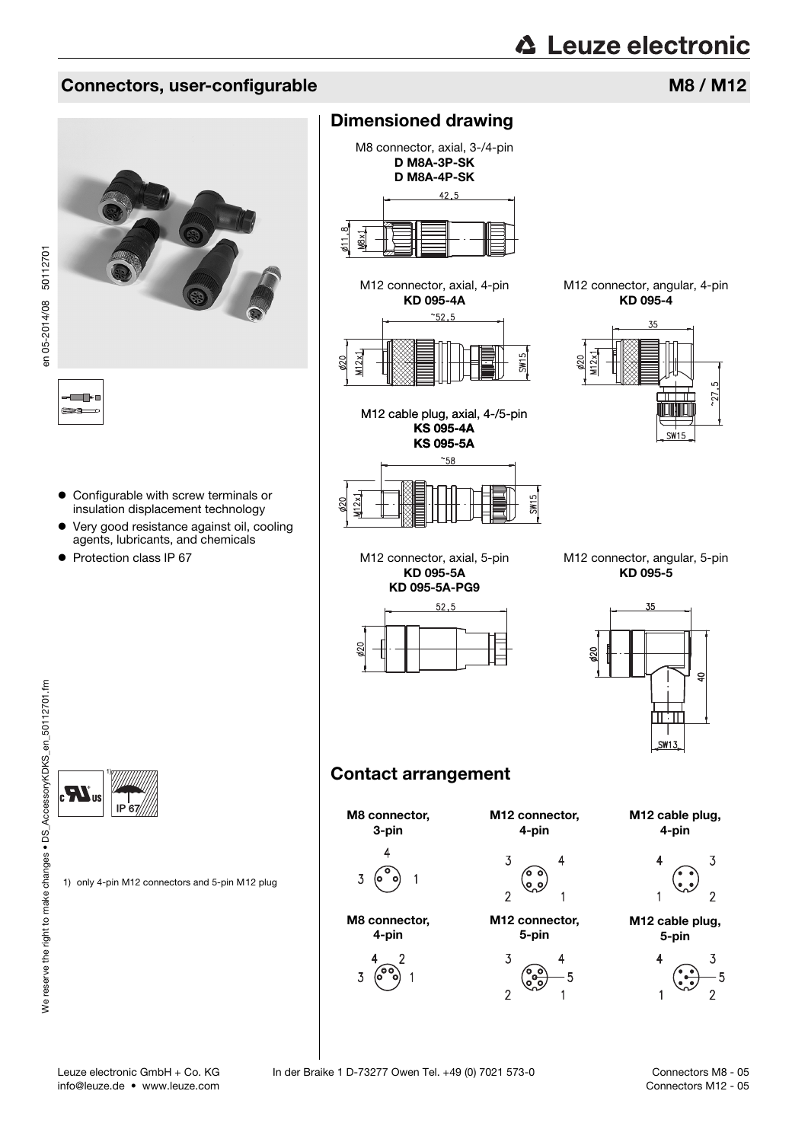#### Connectors, user-configurable M8 / M12



en 05-2014/08 50112701 en 05-2014/08 50112701

T En

- Configurable with screw terminals or insulation displacement technology
- Very good resistance against oil, cooling agents, lubricants, and chemicals
- Protection class IP 67

#### Dimensioned drawing

M8 connector, axial, 3-/4-pin D M8A-3P-SK D M8A-4P-SK  $42.5$ 

M12 connector, axial, 4-pin KD 095-4A

 $48x$ 







M12 connector, angular, 4-pin KD 095-4



M12 connector, axial, 5-pin KD 095-5A KD 095-5A-PG9



M12 connector, angular, 5-pin KD 095-5



### Contact arrangement



1) Æ. IP 67

1) only 4-pin M12 connectors and 5-pin M12 plug

info@leuze.de • www.leuze.com

<span id="page-0-0"></span>Connectors M8 - 05 Connectors M12 - 05